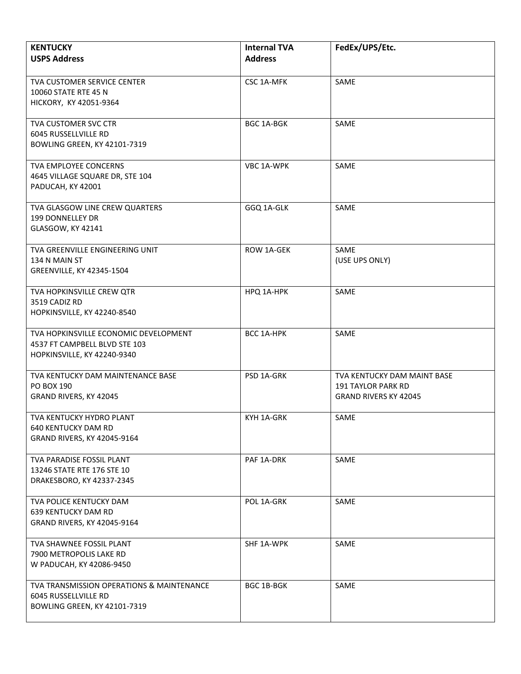| <b>KENTUCKY</b><br><b>USPS Address</b>                                                                   | <b>Internal TVA</b><br><b>Address</b> | FedEx/UPS/Etc.                                                                           |
|----------------------------------------------------------------------------------------------------------|---------------------------------------|------------------------------------------------------------------------------------------|
| <b>TVA CUSTOMER SERVICE CENTER</b><br>10060 STATE RTE 45 N<br>HICKORY, KY 42051-9364                     | <b>CSC 1A-MFK</b>                     | SAME                                                                                     |
| TVA CUSTOMER SVC CTR<br>6045 RUSSELLVILLE RD<br><b>BOWLING GREEN, KY 42101-7319</b>                      | <b>BGC 1A-BGK</b>                     | SAME                                                                                     |
| TVA EMPLOYEE CONCERNS<br>4645 VILLAGE SQUARE DR, STE 104<br>PADUCAH, KY 42001                            | VBC 1A-WPK                            | SAME                                                                                     |
| TVA GLASGOW LINE CREW QUARTERS<br>199 DONNELLEY DR<br>GLASGOW, KY 42141                                  | GGQ 1A-GLK                            | SAME                                                                                     |
| TVA GREENVILLE ENGINEERING UNIT<br>134 N MAIN ST<br>GREENVILLE, KY 42345-1504                            | ROW 1A-GEK                            | SAME<br>(USE UPS ONLY)                                                                   |
| TVA HOPKINSVILLE CREW QTR<br>3519 CADIZ RD<br>HOPKINSVILLE, KY 42240-8540                                | HPQ 1A-HPK                            | SAME                                                                                     |
| TVA HOPKINSVILLE ECONOMIC DEVELOPMENT<br>4537 FT CAMPBELL BLVD STE 103<br>HOPKINSVILLE, KY 42240-9340    | BCC 1A-HPK                            | SAME                                                                                     |
| TVA KENTUCKY DAM MAINTENANCE BASE<br>PO BOX 190<br>GRAND RIVERS, KY 42045                                | PSD 1A-GRK                            | TVA KENTUCKY DAM MAINT BASE<br><b>191 TAYLOR PARK RD</b><br><b>GRAND RIVERS KY 42045</b> |
| TVA KENTUCKY HYDRO PLANT<br>640 KENTUCKY DAM RD<br>GRAND RIVERS, KY 42045-9164                           | KYH 1A-GRK                            | SAME                                                                                     |
| TVA PARADISE FOSSIL PLANT<br>13246 STATE RTE 176 STE 10<br>DRAKESBORO, KY 42337-2345                     | PAF 1A-DRK                            | SAME                                                                                     |
| TVA POLICE KENTUCKY DAM<br><b>639 KENTUCKY DAM RD</b><br>GRAND RIVERS, KY 42045-9164                     | POL 1A-GRK                            | SAME                                                                                     |
| TVA SHAWNEE FOSSIL PLANT<br>7900 METROPOLIS LAKE RD<br>W PADUCAH, KY 42086-9450                          | SHF 1A-WPK                            | SAME                                                                                     |
| TVA TRANSMISSION OPERATIONS & MAINTENANCE<br>6045 RUSSELLVILLE RD<br><b>BOWLING GREEN, KY 42101-7319</b> | <b>BGC 1B-BGK</b>                     | SAME                                                                                     |